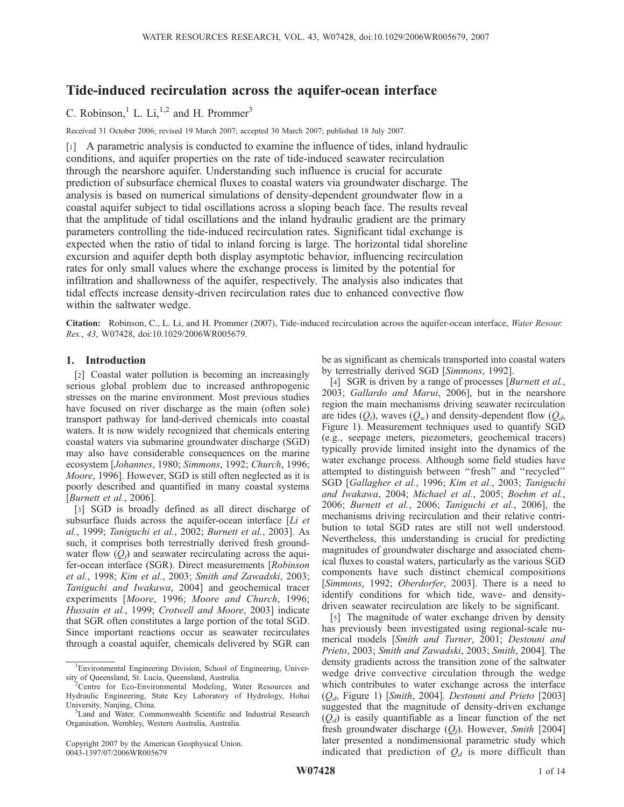# Tide-induced recirculation across the aquifer-ocean interface

C. Robinson, <sup>1</sup> L. Li, <sup>1,2</sup> and H. Prommer<sup>3</sup>

Received 31 October 2006; revised 19 March 2007; accepted 30 March 2007; published 18 July 2007.

[1] A parametric analysis is conducted to examine the influence of tides, inland hydraulic conditions, and aquifer properties on the rate of tide-induced seawater recirculation through the nearshore aquifer. Understanding such influence is crucial for accurate prediction of subsurface chemical fluxes to coastal waters via groundwater discharge. The analysis is based on numerical simulations of density-dependent groundwater flow in a coastal aquifer subject to tidal oscillations across a sloping beach face. The results reveal that the amplitude of tidal oscillations and the inland hydraulic gradient are the primary parameters controlling the tide-induced recirculation rates. Significant tidal exchange is expected when the ratio of tidal to inland forcing is large. The horizontal tidal shoreline excursion and aquifer depth both display asymptotic behavior, influencing recirculation rates for only small values where the exchange process is limited by the potential for infiltration and shallowness of the aquifer, respectively. The analysis also indicates that tidal effects increase density-driven recirculation rates due to enhanced convective flow within the saltwater wedge.

Citation: Robinson, C., L. Li, and H. Prommer (2007), Tide-induced recirculation across the aquifer-ocean interface, Water Resour. Res., 43, W07428, doi:10.1029/2006WR005679.

## 1. Introduction

[2] Coastal water pollution is becoming an increasingly serious global problem due to increased anthropogenic stresses on the marine environment. Most previous studies have focused on river discharge as the main (often sole) transport pathway for land-derived chemicals into coastal waters. It is now widely recognized that chemicals entering coastal waters via submarine groundwater discharge (SGD) may also have considerable consequences on the marine ecosystem [Johannes, 1980; Simmons, 1992; Church, 1996; Moore, 1996]. However, SGD is still often neglected as it is poorly described and quantified in many coastal systems [Burnett et al., 2006].

[3] SGD is broadly defined as all direct discharge of subsurface fluids across the aquifer-ocean interface  $[L<sub>i</sub>]$  et al., 1999; Taniguchi et al., 2002; Burnett et al., 2003]. As such, it comprises both terrestrially derived fresh groundwater flow  $(Q_f)$  and seawater recirculating across the aquifer-ocean interface (SGR). Direct measurements [Robinson et al., 1998; Kim et al., 2003; Smith and Zawadski, 2003; Taniguchi and Iwakawa, 2004] and geochemical tracer experiments [Moore, 1996; Moore and Church, 1996; Hussain et al., 1999; Crotwell and Moore, 2003] indicate that SGR often constitutes a large portion of the total SGD. Since important reactions occur as seawater recirculates through a coastal aquifer, chemicals delivered by SGR can

be as significant as chemicals transported into coastal waters by terrestrially derived SGD [Simmons, 1992].

[4] SGR is driven by a range of processes [Burnett et al., 2003; Gallardo and Marui, 2006], but in the nearshore region the main mechanisms driving seawater recirculation are tides  $(Q_t)$ , waves  $(Q_w)$  and density-dependent flow  $(Q_d,$ Figure 1). Measurement techniques used to quantify SGD (e.g., seepage meters, piezometers, geochemical tracers) typically provide limited insight into the dynamics of the water exchange process. Although some field studies have attempted to distinguish between ''fresh'' and ''recycled'' SGD [Gallagher et al., 1996; Kim et al., 2003; Taniguchi and Iwakawa, 2004; Michael et al., 2005; Boehm et al., 2006; Burnett et al., 2006; Taniguchi et al., 2006], the mechanisms driving recirculation and their relative contribution to total SGD rates are still not well understood. Nevertheless, this understanding is crucial for predicting magnitudes of groundwater discharge and associated chemical fluxes to coastal waters, particularly as the various SGD components have such distinct chemical compositions [Simmons, 1992; Oberdorfer, 2003]. There is a need to identify conditions for which tide, wave- and densitydriven seawater recirculation are likely to be significant.

[5] The magnitude of water exchange driven by density has previously been investigated using regional-scale numerical models [Smith and Turner, 2001; Destouni and Prieto, 2003; Smith and Zawadski, 2003; Smith, 2004]. The density gradients across the transition zone of the saltwater wedge drive convective circulation through the wedge which contributes to water exchange across the interface  $(Q_d,$  Figure 1) [Smith, 2004]. Destouni and Prieto [2003] suggested that the magnitude of density-driven exchange  $(Q_d)$  is easily quantifiable as a linear function of the net fresh groundwater discharge  $(Q_f)$ . However, Smith [2004] later presented a nondimensional parametric study which indicated that prediction of  $Q_d$  is more difficult than

<sup>1</sup> Environmental Engineering Division, School of Engineering, Univer-

sity of Queensland, St. Lucia, Queensland, Australia. <sup>2</sup> Centre for Eco-Environmental Modeling, Water Resources and Hydraulic Engineering, State Key Laboratory of Hydrology, Hohai University, Nanjing, China. <sup>3</sup>

<sup>&</sup>lt;sup>3</sup> Land and Water, Commonwealth Scientific and Industrial Research Organisation, Wembley, Western Australia, Australia.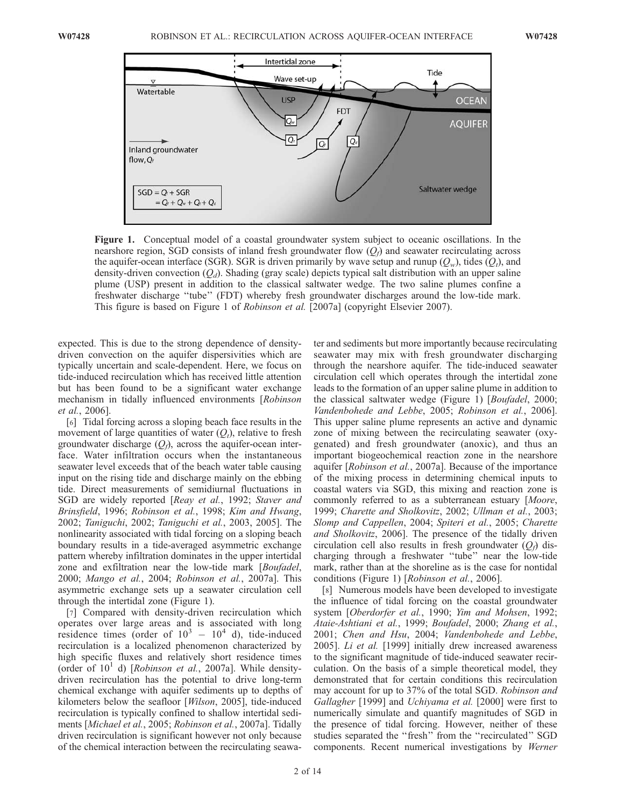

Figure 1. Conceptual model of a coastal groundwater system subject to oceanic oscillations. In the nearshore region, SGD consists of inland fresh groundwater flow  $(Q_f)$  and seawater recirculating across the aquifer-ocean interface (SGR). SGR is driven primarily by wave setup and runup  $(Q_w)$ , tides  $(Q_t)$ , and density-driven convection  $(Q_d)$ . Shading (gray scale) depicts typical salt distribution with an upper saline plume (USP) present in addition to the classical saltwater wedge. The two saline plumes confine a freshwater discharge ''tube'' (FDT) whereby fresh groundwater discharges around the low-tide mark. This figure is based on Figure 1 of Robinson et al. [2007a] (copyright Elsevier 2007).

expected. This is due to the strong dependence of densitydriven convection on the aquifer dispersivities which are typically uncertain and scale-dependent. Here, we focus on tide-induced recirculation which has received little attention but has been found to be a significant water exchange mechanism in tidally influenced environments [Robinson et al., 2006].

[6] Tidal forcing across a sloping beach face results in the movement of large quantities of water  $(O_t)$ , relative to fresh groundwater discharge  $(Q_f)$ , across the aquifer-ocean interface. Water infiltration occurs when the instantaneous seawater level exceeds that of the beach water table causing input on the rising tide and discharge mainly on the ebbing tide. Direct measurements of semidiurnal fluctuations in SGD are widely reported [Reay et al., 1992; Staver and Brinsfield, 1996; Robinson et al., 1998; Kim and Hwang, 2002; Taniguchi, 2002; Taniguchi et al., 2003, 2005]. The nonlinearity associated with tidal forcing on a sloping beach boundary results in a tide-averaged asymmetric exchange pattern whereby infiltration dominates in the upper intertidal zone and exfiltration near the low-tide mark [Boufadel, 2000; Mango et al., 2004; Robinson et al., 2007a]. This asymmetric exchange sets up a seawater circulation cell through the intertidal zone (Figure 1).

[7] Compared with density-driven recirculation which operates over large areas and is associated with long residence times (order of  $10^3 - 10^4$  d), tide-induced recirculation is a localized phenomenon characterized by high specific fluxes and relatively short residence times (order of  $10<sup>1</sup>$  d) [*Robinson et al.*, 2007a]. While densitydriven recirculation has the potential to drive long-term chemical exchange with aquifer sediments up to depths of kilometers below the seafloor [Wilson, 2005], tide-induced recirculation is typically confined to shallow intertidal sediments [Michael et al., 2005; Robinson et al., 2007a]. Tidally driven recirculation is significant however not only because of the chemical interaction between the recirculating seawa-

ter and sediments but more importantly because recirculating seawater may mix with fresh groundwater discharging through the nearshore aquifer. The tide-induced seawater circulation cell which operates through the intertidal zone leads to the formation of an upper saline plume in addition to the classical saltwater wedge (Figure 1) [*Boufadel*, 2000; Vandenbohede and Lebbe, 2005; Robinson et al., 2006]. This upper saline plume represents an active and dynamic zone of mixing between the recirculating seawater (oxygenated) and fresh groundwater (anoxic), and thus an important biogeochemical reaction zone in the nearshore aquifer [Robinson et al., 2007a]. Because of the importance of the mixing process in determining chemical inputs to coastal waters via SGD, this mixing and reaction zone is commonly referred to as a subterranean estuary [Moore, 1999; Charette and Sholkovitz, 2002; Ullman et al., 2003; Slomp and Cappellen, 2004; Spiteri et al., 2005; Charette and Sholkovitz, 2006]. The presence of the tidally driven circulation cell also results in fresh groundwater  $(Q_f)$  discharging through a freshwater ''tube'' near the low-tide mark, rather than at the shoreline as is the case for nontidal conditions (Figure 1) [*Robinson et al.*, 2006].

[8] Numerous models have been developed to investigate the influence of tidal forcing on the coastal groundwater system [Oberdorfer et al., 1990; Yim and Mohsen, 1992; Ataie-Ashtiani et al., 1999; Boufadel, 2000; Zhang et al., 2001; Chen and Hsu, 2004; Vandenbohede and Lebbe, 2005]. Li et al. [1999] initially drew increased awareness to the significant magnitude of tide-induced seawater recirculation. On the basis of a simple theoretical model, they demonstrated that for certain conditions this recirculation may account for up to 37% of the total SGD. Robinson and Gallagher [1999] and *Uchiyama et al.* [2000] were first to numerically simulate and quantify magnitudes of SGD in the presence of tidal forcing. However, neither of these studies separated the ''fresh'' from the ''recirculated'' SGD components. Recent numerical investigations by Werner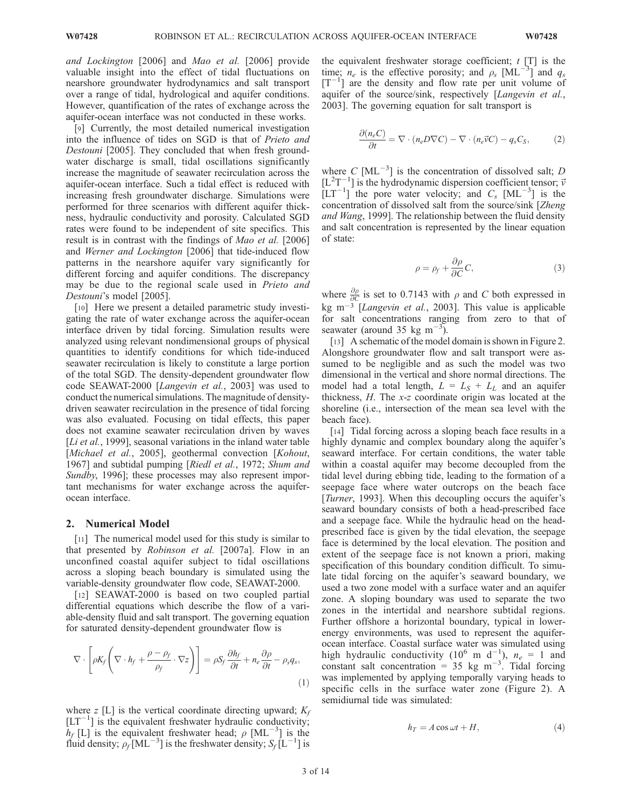and Lockington [2006] and Mao et al. [2006] provide valuable insight into the effect of tidal fluctuations on nearshore groundwater hydrodynamics and salt transport over a range of tidal, hydrological and aquifer conditions. However, quantification of the rates of exchange across the aquifer-ocean interface was not conducted in these works.

[9] Currently, the most detailed numerical investigation into the influence of tides on SGD is that of Prieto and Destouni [2005]. They concluded that when fresh groundwater discharge is small, tidal oscillations significantly increase the magnitude of seawater recirculation across the aquifer-ocean interface. Such a tidal effect is reduced with increasing fresh groundwater discharge. Simulations were performed for three scenarios with different aquifer thickness, hydraulic conductivity and porosity. Calculated SGD rates were found to be independent of site specifics. This result is in contrast with the findings of Mao et al. [2006] and Werner and Lockington [2006] that tide-induced flow patterns in the nearshore aquifer vary significantly for different forcing and aquifer conditions. The discrepancy may be due to the regional scale used in Prieto and Destouni's model [2005].

[10] Here we present a detailed parametric study investigating the rate of water exchange across the aquifer-ocean interface driven by tidal forcing. Simulation results were analyzed using relevant nondimensional groups of physical quantities to identify conditions for which tide-induced seawater recirculation is likely to constitute a large portion of the total SGD. The density-dependent groundwater flow code SEAWAT-2000 [Langevin et al., 2003] was used to conduct the numerical simulations. The magnitude of densitydriven seawater recirculation in the presence of tidal forcing was also evaluated. Focusing on tidal effects, this paper does not examine seawater recirculation driven by waves [Li et al., 1999], seasonal variations in the inland water table [Michael et al., 2005], geothermal convection [Kohout, 1967] and subtidal pumping [Riedl et al., 1972; Shum and Sundby, 1996]; these processes may also represent important mechanisms for water exchange across the aquiferocean interface.

### 2. Numerical Model

[11] The numerical model used for this study is similar to that presented by Robinson et al. [2007a]. Flow in an unconfined coastal aquifer subject to tidal oscillations across a sloping beach boundary is simulated using the variable-density groundwater flow code, SEAWAT-2000.

[12] SEAWAT-2000 is based on two coupled partial differential equations which describe the flow of a variable-density fluid and salt transport. The governing equation for saturated density-dependent groundwater flow is

$$
\nabla \cdot \left[ \rho K_f \left( \nabla \cdot h_f + \frac{\rho - \rho_f}{\rho_f} \cdot \nabla z \right) \right] = \rho S_f \frac{\partial h_f}{\partial t} + n_e \frac{\partial \rho}{\partial t} - \rho_s q_s,
$$
\n(1)

where z [L] is the vertical coordinate directing upward;  $K_f$  $[LT^{-1}]$  is the equivalent freshwater hydraulic conductivity;  $h_f$  [L] is the equivalent freshwater head;  $\rho$  [ML<sup>-3</sup>] is the fluid density;  $\rho_f$ [ML<sup>-3</sup>] is the freshwater density;  $S_f$ [L<sup>-1</sup>] is

the equivalent freshwater storage coefficient;  $t$  [T] is the time;  $n_e$  is the effective porosity; and  $\rho_s$  [ML<sup>-3</sup>] and  $q_s$  $[T^{-1}]$  are the density and flow rate per unit volume of aquifer of the source/sink, respectively [Langevin et al., 2003]. The governing equation for salt transport is

$$
\frac{\partial (n_e C)}{\partial t} = \nabla \cdot (n_e D \nabla C) - \nabla \cdot (n_e \vec{\nu} C) - q_s C_S, \tag{2}
$$

where C  $[ML^{-3}]$  is the concentration of dissolved salt; D  $[L<sup>2</sup>T<sup>-1</sup>]$  is the hydrodynamic dispersion coefficient tensor;  $\vec{v}$  $[LT^{-1}]$  the pore water velocity; and  $C_s$   $[ML^{-3}]$  is the concentration of dissolved salt from the source/sink [Zheng and Wang, 1999]. The relationship between the fluid density and salt concentration is represented by the linear equation of state:

$$
\rho = \rho_f + \frac{\partial \rho}{\partial C} C,\tag{3}
$$

where  $\frac{\partial \rho}{\partial C}$  is set to 0.7143 with  $\rho$  and C both expressed in kg m<sup>-3</sup> [Langevin et al., 2003]. This value is applicable for salt concentrations ranging from zero to that of seawater (around 35 kg m<sup>-3</sup>).

[13] A schematic of the model domain is shown in Figure 2. Alongshore groundwater flow and salt transport were assumed to be negligible and as such the model was two dimensional in the vertical and shore normal directions. The model had a total length,  $L = L_S + L_L$  and an aquifer thickness, H. The x-z coordinate origin was located at the shoreline (i.e., intersection of the mean sea level with the beach face).

[14] Tidal forcing across a sloping beach face results in a highly dynamic and complex boundary along the aquifer's seaward interface. For certain conditions, the water table within a coastal aquifer may become decoupled from the tidal level during ebbing tide, leading to the formation of a seepage face where water outcrops on the beach face [*Turner*, 1993]. When this decoupling occurs the aquifer's seaward boundary consists of both a head-prescribed face and a seepage face. While the hydraulic head on the headprescribed face is given by the tidal elevation, the seepage face is determined by the local elevation. The position and extent of the seepage face is not known a priori, making specification of this boundary condition difficult. To simulate tidal forcing on the aquifer's seaward boundary, we used a two zone model with a surface water and an aquifer zone. A sloping boundary was used to separate the two zones in the intertidal and nearshore subtidal regions. Further offshore a horizontal boundary, typical in lowerenergy environments, was used to represent the aquiferocean interface. Coastal surface water was simulated using high hydraulic conductivity (10<sup>6</sup> m d<sup>-1</sup>),  $n_e = 1$  and constant salt concentration =  $35 \text{ kg m}^{-3}$ . Tidal forcing was implemented by applying temporally varying heads to specific cells in the surface water zone (Figure 2). A semidiurnal tide was simulated:

$$
h_T = A\cos\omega t + H,\t\t(4)
$$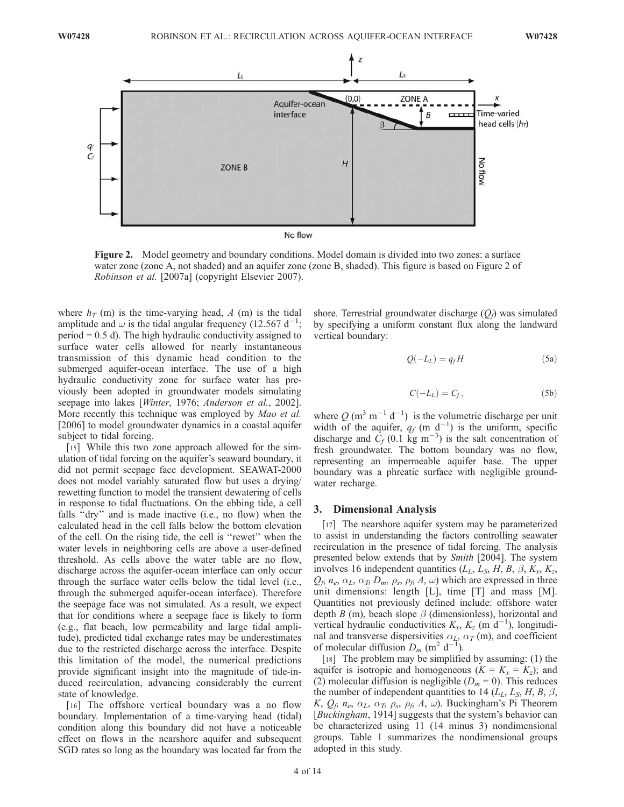

No flow

Figure 2. Model geometry and boundary conditions. Model domain is divided into two zones: a surface water zone (zone A, not shaded) and an aquifer zone (zone B, shaded). This figure is based on Figure 2 of Robinson et al. [2007a] (copyright Elsevier 2007).

where  $h_T$  (m) is the time-varying head, A (m) is the tidal amplitude and  $\omega$  is the tidal angular frequency (12.567 d<sup>-1</sup>;  $period = 0.5$  d). The high hydraulic conductivity assigned to surface water cells allowed for nearly instantaneous transmission of this dynamic head condition to the submerged aquifer-ocean interface. The use of a high hydraulic conductivity zone for surface water has previously been adopted in groundwater models simulating seepage into lakes [Winter, 1976; Anderson et al., 2002]. More recently this technique was employed by *Mao et al.* [2006] to model groundwater dynamics in a coastal aquifer subject to tidal forcing.

[15] While this two zone approach allowed for the simulation of tidal forcing on the aquifer's seaward boundary, it did not permit seepage face development. SEAWAT-2000 does not model variably saturated flow but uses a drying/ rewetting function to model the transient dewatering of cells in response to tidal fluctuations. On the ebbing tide, a cell falls ''dry'' and is made inactive (i.e., no flow) when the calculated head in the cell falls below the bottom elevation of the cell. On the rising tide, the cell is ''rewet'' when the water levels in neighboring cells are above a user-defined threshold. As cells above the water table are no flow, discharge across the aquifer-ocean interface can only occur through the surface water cells below the tidal level (i.e., through the submerged aquifer-ocean interface). Therefore the seepage face was not simulated. As a result, we expect that for conditions where a seepage face is likely to form (e.g., flat beach, low permeability and large tidal amplitude), predicted tidal exchange rates may be underestimates due to the restricted discharge across the interface. Despite this limitation of the model, the numerical predictions provide significant insight into the magnitude of tide-induced recirculation, advancing considerably the current state of knowledge.

[16] The offshore vertical boundary was a no flow boundary. Implementation of a time-varying head (tidal) condition along this boundary did not have a noticeable effect on flows in the nearshore aquifer and subsequent SGD rates so long as the boundary was located far from the

shore. Terrestrial groundwater discharge  $(Q_f)$  was simulated by specifying a uniform constant flux along the landward vertical boundary:

$$
Q(-L_L) = q_f H \tag{5a}
$$

$$
C(-L_L) = C_f, \t\t(5b)
$$

where  $Q(m^3 m^{-1} d^{-1})$  is the volumetric discharge per unit width of the aquifer,  $q_f$  (m d<sup>-1</sup>) is the uniform, specific discharge and  $\dot{C}_f$  (0.1 kg m<sup>-3</sup>) is the salt concentration of fresh groundwater. The bottom boundary was no flow, representing an impermeable aquifer base. The upper boundary was a phreatic surface with negligible groundwater recharge.

#### 3. Dimensional Analysis

[17] The nearshore aquifer system may be parameterized to assist in understanding the factors controlling seawater recirculation in the presence of tidal forcing. The analysis presented below extends that by *Smith* [2004]. The system involves 16 independent quantities  $(L_L, L_S, H, B, \beta, K_x, K_z,$  $Q_f$ ,  $n_e$ ,  $\alpha_L$ ,  $\alpha_T$ ,  $D_m$ ,  $\rho_s$ ,  $\rho_f$ ,  $A$ ,  $\omega$ ) which are expressed in three unit dimensions: length [L], time [T] and mass [M]. Quantities not previously defined include: offshore water depth B (m), beach slope  $\beta$  (dimensionless), horizontal and vertical hydraulic conductivities  $K_x$ ,  $K_z$  (m d<sup>-1</sup>), longitudinal and transverse dispersivities  $\alpha_L$ ,  $\alpha_T$  (m), and coefficient of molecular diffusion  $D_m$  (m<sup>2</sup> d<sup>-1</sup>).

[18] The problem may be simplified by assuming: (1) the aquifer is isotropic and homogeneous  $(K = K_x = K_z)$ ; and (2) molecular diffusion is negligible  $(D_m = 0)$ . This reduces the number of independent quantities to 14 ( $L_L$ ,  $L_S$ ,  $H$ ,  $B$ ,  $\beta$ , K,  $Q_f$ ,  $n_e$ ,  $\alpha_L$ ,  $\alpha_T$ ,  $\rho_s$ ,  $\rho_f$ , A,  $\omega$ ). Buckingham's Pi Theorem [Buckingham, 1914] suggests that the system's behavior can be characterized using 11 (14 minus 3) nondimensional groups. Table 1 summarizes the nondimensional groups adopted in this study.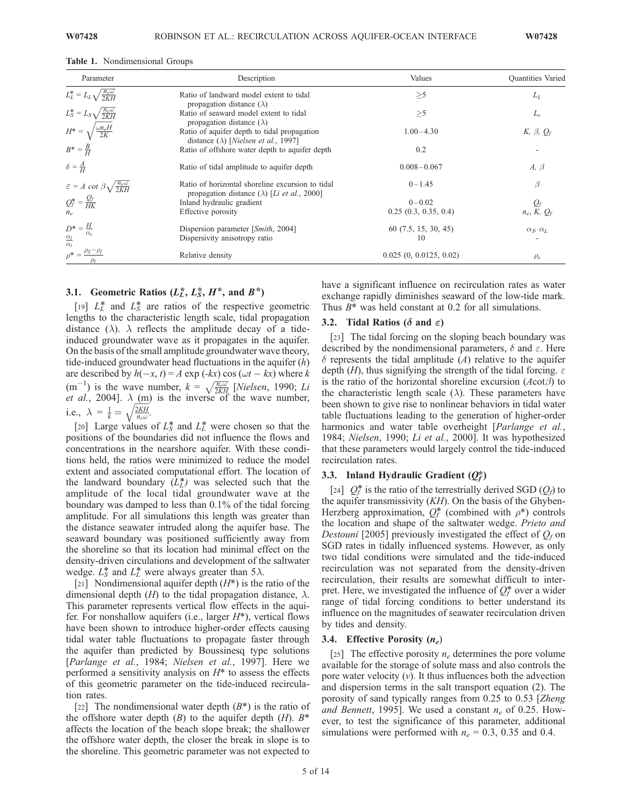| Parameter                                                  | Description                                                                                                       | Values                 | <b>Quantities</b> Varied                    |
|------------------------------------------------------------|-------------------------------------------------------------------------------------------------------------------|------------------------|---------------------------------------------|
| $L_L^* = L_L \sqrt{\frac{n_e \omega}{2KH}}$                | Ratio of landward model extent to tidal<br>propagation distance $(\lambda)$                                       | $\geq 5$               | $L_L$                                       |
| $L_S^* = L_S \sqrt{\frac{n_e \omega}{2KH}}$                | Ratio of seaward model extent to tidal<br>propagation distance $(\lambda)$                                        | >5                     | $L_{s}$                                     |
| $H^* = \sqrt{\frac{\omega n_e H}{2K}}$                     | Ratio of aquifer depth to tidal propagation<br>distance ( $\lambda$ ) [ <i>Nielsen et al.</i> , 1997]             | $1.00 - 4.30$          | K, $\beta$ , $Q_f$                          |
| $B^* = \frac{B}{H}$                                        | Ratio of offshore water depth to aquifer depth                                                                    | 0.2                    |                                             |
| $\delta = \frac{A}{H}$                                     | Ratio of tidal amplitude to aquifer depth                                                                         | $0.008 - 0.067$        | $A, \beta$                                  |
| $\varepsilon = A \cot \beta \sqrt{\frac{n_e \omega}{2KH}}$ | Ratio of horizontal shoreline excursion to tidal<br>propagation distance ( $\lambda$ ) [ <i>Li et al.</i> , 2000] | $0 - 1.45$             | $\beta$                                     |
| $Q_f^* = \frac{Q_f}{HK}$                                   | Inland hydraulic gradient                                                                                         | $0 - 0.02$             |                                             |
| $n_e$                                                      | Effective porosity                                                                                                | 0.25(0.3, 0.35, 0.4)   | $Q_f$<br>$n_e, K, Q_f$                      |
| $D^* = \frac{H}{A}$                                        | Dispersion parameter [Smith, 2004]                                                                                | 60(7.5, 15, 30, 45)    | $\alpha_{\mathcal{B}} \alpha_{\mathcal{L}}$ |
| $\alpha_{i}$<br>$\frac{\alpha_l}{\alpha_t}$                | Dispersivity anisotropy ratio                                                                                     | 10                     |                                             |
| $\rho^* = \frac{\rho_S - \rho_f}{\rho}$                    | Relative density                                                                                                  | 0.025(0, 0.0125, 0.02) | $\rho_s$                                    |

## 3.1. Geometric Ratios  $(L_L^*, L_S^*, H^*, \text{ and } B^*)$

[19]  $L_L^*$  and  $L_S^*$  are ratios of the respective geometric lengths to the characteristic length scale, tidal propagation distance ( $\lambda$ ).  $\lambda$  reflects the amplitude decay of a tideinduced groundwater wave as it propagates in the aquifer. On the basis of the small amplitude groundwater wave theory, tide-induced groundwater head fluctuations in the aquifer  $(h)$ are described by  $h(-x, t) = A \exp (+kx) \cos (\omega t - kx)$  where k (m<sup>-1</sup>) is the wave number,  $k = \sqrt{\frac{\hbar \omega}{2KH}}$  [*Nielsen*, 1990; *Li et al.*, 2004].  $\lambda$  (m) is the inverse of the wave number, i.e.,  $\lambda = \frac{1}{k} = \sqrt{\frac{2KH}{n_e\omega}}$ .

[20] Large values of  $L_S^*$  and  $L_L^*$  were chosen so that the positions of the boundaries did not influence the flows and concentrations in the nearshore aquifer. With these conditions held, the ratios were minimized to reduce the model extent and associated computational effort. The location of the landward boundary  $(L<sub>L</sub><sup>*</sup>)$  was selected such that the amplitude of the local tidal groundwater wave at the boundary was damped to less than 0.1% of the tidal forcing amplitude. For all simulations this length was greater than the distance seawater intruded along the aquifer base. The seaward boundary was positioned sufficiently away from the shoreline so that its location had minimal effect on the density-driven circulations and development of the saltwater wedge.  $L_S^*$  and  $L_L^*$  were always greater than 5 $\lambda$ .

[21] Nondimensional aquifer depth  $(H^*)$  is the ratio of the dimensional depth  $(H)$  to the tidal propagation distance,  $\lambda$ . This parameter represents vertical flow effects in the aquifer. For nonshallow aquifers (i.e., larger  $H^*$ ), vertical flows have been shown to introduce higher-order effects causing tidal water table fluctuations to propagate faster through the aquifer than predicted by Boussinesq type solutions [Parlange et al., 1984; Nielsen et al., 1997]. Here we performed a sensitivity analysis on  $H^*$  to assess the effects of this geometric parameter on the tide-induced recirculation rates.

[22] The nondimensional water depth  $(B^*)$  is the ratio of the offshore water depth  $(B)$  to the aquifer depth  $(H)$ .  $B^*$ affects the location of the beach slope break; the shallower the offshore water depth, the closer the break in slope is to the shoreline. This geometric parameter was not expected to

have a significant influence on recirculation rates as water exchange rapidly diminishes seaward of the low-tide mark. Thus  $B^*$  was held constant at 0.2 for all simulations.

#### 3.2. Tidal Ratios ( $\delta$  and  $\varepsilon$ )

[23] The tidal forcing on the sloping beach boundary was described by the nondimensional parameters,  $\delta$  and  $\varepsilon$ . Here  $\delta$  represents the tidal amplitude (A) relative to the aquifer depth (H), thus signifying the strength of the tidal forcing.  $\varepsilon$ is the ratio of the horizontal shoreline excursion  $(Acot\beta)$  to the characteristic length scale  $(\lambda)$ . These parameters have been shown to give rise to nonlinear behaviors in tidal water table fluctuations leading to the generation of higher-order harmonics and water table overheight [*Parlange et al.*, 1984; Nielsen, 1990; Li et al., 2000]. It was hypothesized that these parameters would largely control the tide-induced recirculation rates.

## 3.3. Inland Hydraulic Gradient  $(Q_f^*)$

[24]  $Q_f^*$  is the ratio of the terrestrially derived SGD  $(Q_f)$  to the aquifer transmissivity  $(KH)$ . On the basis of the Ghyben-Herzberg approximation,  $Q_f^*$  (combined with  $\rho^*$ ) controls the location and shape of the saltwater wedge. *Prieto and* Destouni [2005] previously investigated the effect of  $Q_f$  on SGD rates in tidally influenced systems. However, as only two tidal conditions were simulated and the tide-induced recirculation was not separated from the density-driven recirculation, their results are somewhat difficult to interpret. Here, we investigated the influence of  $Q_f^*$  over a wider range of tidal forcing conditions to better understand its influence on the magnitudes of seawater recirculation driven by tides and density.

#### 3.4. Effective Porosity  $(n_e)$

[25] The effective porosity  $n_e$  determines the pore volume available for the storage of solute mass and also controls the pore water velocity  $(v)$ . It thus influences both the advection and dispersion terms in the salt transport equation (2). The porosity of sand typically ranges from 0.25 to 0.53 [Zheng and Bennett, 1995]. We used a constant  $n_e$  of 0.25. However, to test the significance of this parameter, additional simulations were performed with  $n_e = 0.3$ , 0.35 and 0.4.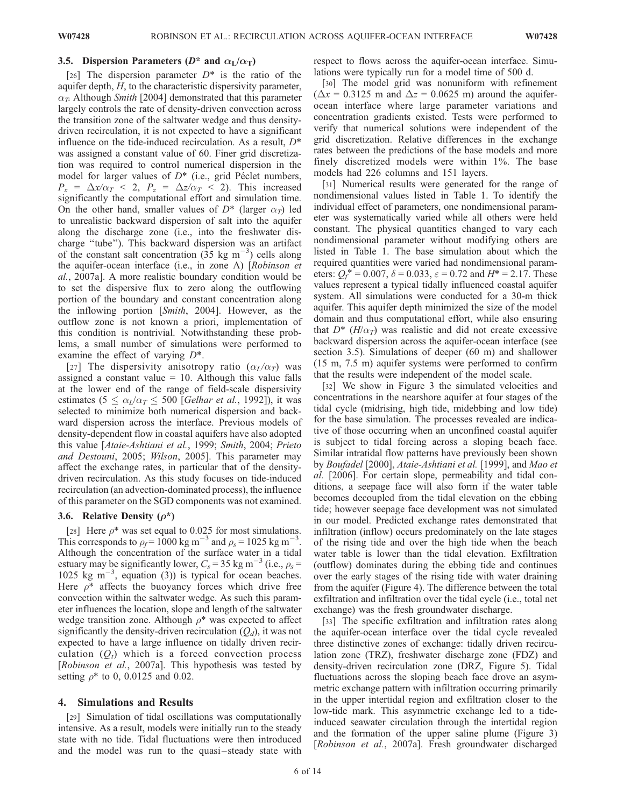## 3.5. Dispersion Parameters ( $D^*$  and  $\alpha_L/\alpha_T$ )

[26] The dispersion parameter  $D^*$  is the ratio of the aquifer depth,  $H$ , to the characteristic dispersivity parameter,  $\alpha_T$ . Although Smith [2004] demonstrated that this parameter largely controls the rate of density-driven convection across the transition zone of the saltwater wedge and thus densitydriven recirculation, it is not expected to have a significant influence on the tide-induced recirculation. As a result,  $D^*$ was assigned a constant value of 60. Finer grid discretization was required to control numerical dispersion in the model for larger values of  $D^*$  (i.e., grid Péclet numbers,  $P_x = \Delta x / \alpha_T < 2$ ,  $P_z = \Delta z / \alpha_T < 2$ ). This increased significantly the computational effort and simulation time. On the other hand, smaller values of  $D^*$  (larger  $\alpha_T$ ) led to unrealistic backward dispersion of salt into the aquifer along the discharge zone (i.e., into the freshwater discharge ''tube''). This backward dispersion was an artifact of the constant salt concentration  $(35 \text{ kg m}^{-3})$  cells along the aquifer-ocean interface (i.e., in zone A) [Robinson et al., 2007a]. A more realistic boundary condition would be to set the dispersive flux to zero along the outflowing portion of the boundary and constant concentration along the inflowing portion [Smith, 2004]. However, as the outflow zone is not known a priori, implementation of this condition is nontrivial. Notwithstanding these problems, a small number of simulations were performed to examine the effect of varying  $D^*$ .

[27] The dispersivity anisotropy ratio  $(\alpha_L/\alpha_T)$  was assigned a constant value  $= 10$ . Although this value falls at the lower end of the range of field-scale dispersivity estimates (5  $\lt \alpha_I/\alpha_T \lt 500$  [Gelhar et al., 1992]), it was selected to minimize both numerical dispersion and backward dispersion across the interface. Previous models of density-dependent flow in coastal aquifers have also adopted this value [Ataie-Ashtiani et al., 1999; Smith, 2004; Prieto and Destouni, 2005; Wilson, 2005]. This parameter may affect the exchange rates, in particular that of the densitydriven recirculation. As this study focuses on tide-induced recirculation (an advection-dominated process), the influence of this parameter on the SGD components was not examined.

#### 3.6. Relative Density  $(\rho^*)$

[28] Here  $\rho^*$  was set equal to 0.025 for most simulations. This corresponds to  $\rho_f = 1000 \text{ kg m}^{-3}$  and  $\rho_s = 1025 \text{ kg m}^{-3}$ . Although the concentration of the surface water in a tidal estuary may be significantly lower,  $C_s = 35$  kg m<sup>-3</sup> (i.e.,  $\rho_s =$ 1025 kg m<sup> $-3$ </sup>, equation (3)) is typical for ocean beaches. Here  $\rho^*$  affects the buoyancy forces which drive free convection within the saltwater wedge. As such this parameter influences the location, slope and length of the saltwater wedge transition zone. Although  $\rho^*$  was expected to affect significantly the density-driven recirculation  $(Q_d)$ , it was not expected to have a large influence on tidally driven recirculation  $(Q_t)$  which is a forced convection process [Robinson et al., 2007a]. This hypothesis was tested by setting  $\rho^*$  to 0, 0.0125 and 0.02.

#### 4. Simulations and Results

[29] Simulation of tidal oscillations was computationally intensive. As a result, models were initially run to the steady state with no tide. Tidal fluctuations were then introduced and the model was run to the quasi-steady state with respect to flows across the aquifer-ocean interface. Simulations were typically run for a model time of 500 d.

[30] The model grid was nonuniform with refinement  $(\Delta x = 0.3125 \text{ m and } \Delta z = 0.0625 \text{ m})$  around the aquiferocean interface where large parameter variations and concentration gradients existed. Tests were performed to verify that numerical solutions were independent of the grid discretization. Relative differences in the exchange rates between the predictions of the base models and more finely discretized models were within 1%. The base models had 226 columns and 151 layers.

[31] Numerical results were generated for the range of nondimensional values listed in Table 1. To identify the individual effect of parameters, one nondimensional parameter was systematically varied while all others were held constant. The physical quantities changed to vary each nondimensional parameter without modifying others are listed in Table 1. The base simulation about which the required quantities were varied had nondimensional parameters:  $Q_f^* = 0.007$ ,  $\delta = 0.033$ ,  $\varepsilon = 0.72$  and  $H^* = 2.17$ . These values represent a typical tidally influenced coastal aquifer system. All simulations were conducted for a 30-m thick aquifer. This aquifer depth minimized the size of the model domain and thus computational effort, while also ensuring that  $D^*$  (H/ $\alpha_T$ ) was realistic and did not create excessive backward dispersion across the aquifer-ocean interface (see section 3.5). Simulations of deeper (60 m) and shallower (15 m, 7.5 m) aquifer systems were performed to confirm that the results were independent of the model scale.

[32] We show in Figure 3 the simulated velocities and concentrations in the nearshore aquifer at four stages of the tidal cycle (midrising, high tide, midebbing and low tide) for the base simulation. The processes revealed are indicative of those occurring when an unconfined coastal aquifer is subject to tidal forcing across a sloping beach face. Similar intratidal flow patterns have previously been shown by Boufadel [2000], Ataie-Ashtiani et al. [1999], and Mao et al. [2006]. For certain slope, permeability and tidal conditions, a seepage face will also form if the water table becomes decoupled from the tidal elevation on the ebbing tide; however seepage face development was not simulated in our model. Predicted exchange rates demonstrated that infiltration (inflow) occurs predominately on the late stages of the rising tide and over the high tide when the beach water table is lower than the tidal elevation. Exfiltration (outflow) dominates during the ebbing tide and continues over the early stages of the rising tide with water draining from the aquifer (Figure 4). The difference between the total exfiltration and infiltration over the tidal cycle (i.e., total net exchange) was the fresh groundwater discharge.

[33] The specific exfiltration and infiltration rates along the aquifer-ocean interface over the tidal cycle revealed three distinctive zones of exchange: tidally driven recirculation zone (TRZ), freshwater discharge zone (FDZ) and density-driven recirculation zone (DRZ, Figure 5). Tidal fluctuations across the sloping beach face drove an asymmetric exchange pattern with infiltration occurring primarily in the upper intertidal region and exfiltration closer to the low-tide mark. This asymmetric exchange led to a tideinduced seawater circulation through the intertidal region and the formation of the upper saline plume (Figure 3) [Robinson et al., 2007a]. Fresh groundwater discharged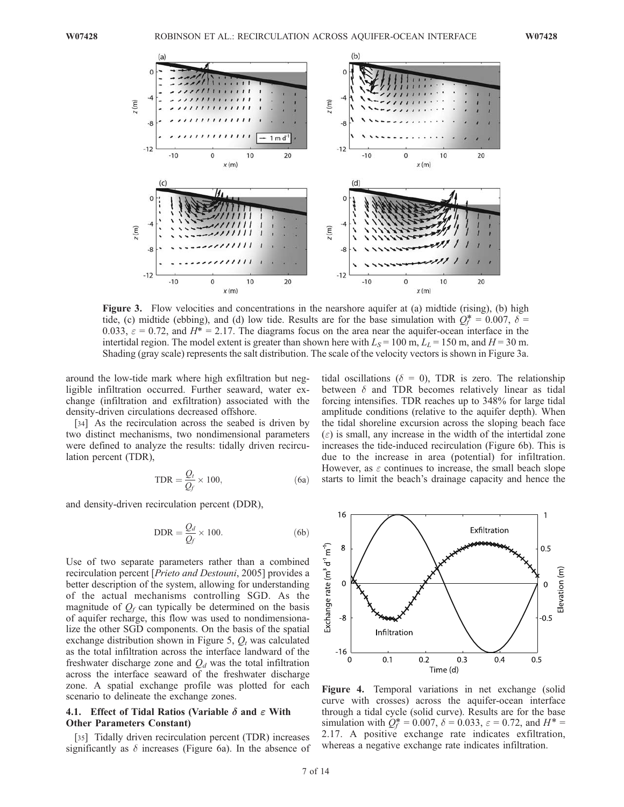

Figure 3. Flow velocities and concentrations in the nearshore aquifer at (a) midtide (rising), (b) high tide, (c) midtide (ebbing), and (d) low tide. Results are for the base simulation with  $Q_f^* = 0.007$ ,  $\delta =$ 0.033,  $\varepsilon = 0.72$ , and  $H^* = 2.17$ . The diagrams focus on the area near the aquifer-ocean interface in the intertidal region. The model extent is greater than shown here with  $L_s = 100$  m,  $L_l = 150$  m, and  $H = 30$  m. Shading (gray scale) represents the salt distribution. The scale of the velocity vectors is shown in Figure 3a.

around the low-tide mark where high exfiltration but negligible infiltration occurred. Further seaward, water exchange (infiltration and exfiltration) associated with the density-driven circulations decreased offshore.

[34] As the recirculation across the seabed is driven by two distinct mechanisms, two nondimensional parameters were defined to analyze the results: tidally driven recirculation percent (TDR),

$$
TDR = \frac{Q_t}{Q_f} \times 100,\tag{6a}
$$

and density-driven recirculation percent (DDR),

$$
DDR = \frac{Q_d}{Q_f} \times 100.
$$
 (6b)

Use of two separate parameters rather than a combined recirculation percent [Prieto and Destouni, 2005] provides a better description of the system, allowing for understanding of the actual mechanisms controlling SGD. As the magnitude of  $Q_f$  can typically be determined on the basis of aquifer recharge, this flow was used to nondimensionalize the other SGD components. On the basis of the spatial exchange distribution shown in Figure 5,  $Q_t$  was calculated as the total infiltration across the interface landward of the freshwater discharge zone and  $Q_d$  was the total infiltration across the interface seaward of the freshwater discharge zone. A spatial exchange profile was plotted for each scenario to delineate the exchange zones.

## 4.1. Effect of Tidal Ratios (Variable  $\delta$  and  $\varepsilon$  With Other Parameters Constant)

[35] Tidally driven recirculation percent (TDR) increases significantly as  $\delta$  increases (Figure 6a). In the absence of tidal oscillations ( $\delta = 0$ ), TDR is zero. The relationship between  $\delta$  and TDR becomes relatively linear as tidal forcing intensifies. TDR reaches up to 348% for large tidal amplitude conditions (relative to the aquifer depth). When the tidal shoreline excursion across the sloping beach face  $(\epsilon)$  is small, any increase in the width of the intertidal zone increases the tide-induced recirculation (Figure 6b). This is due to the increase in area (potential) for infiltration. However, as  $\varepsilon$  continues to increase, the small beach slope starts to limit the beach's drainage capacity and hence the



Figure 4. Temporal variations in net exchange (solid curve with crosses) across the aquifer-ocean interface through a tidal cycle (solid curve). Results are for the base simulation with  $Q_f^* = 0.007$ ,  $\delta = 0.033$ ,  $\varepsilon = 0.72$ , and  $H^* =$ 2.17. A positive exchange rate indicates exfiltration, whereas a negative exchange rate indicates infiltration.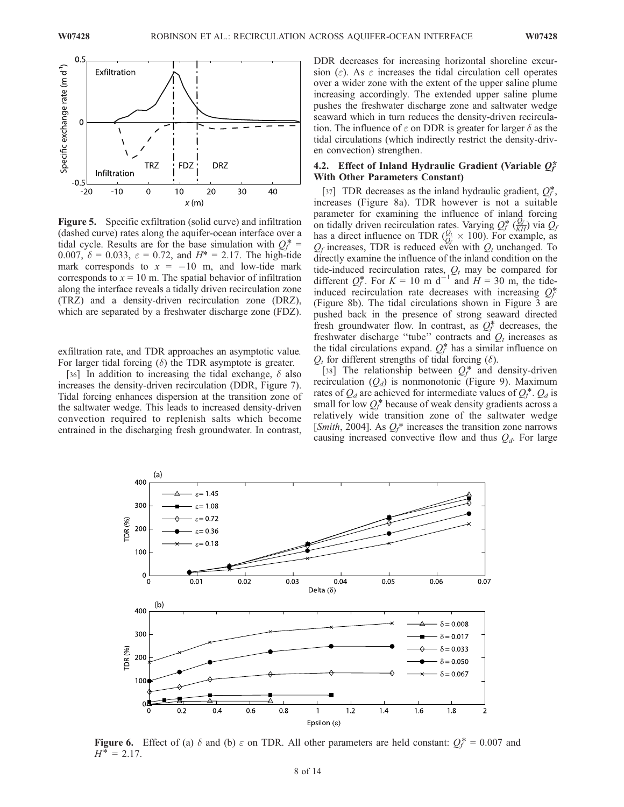

Figure 5. Specific exfiltration (solid curve) and infiltration (dashed curve) rates along the aquifer-ocean interface over a tidal cycle. Results are for the base simulation with  $Q_f^*$  = 0.007,  $\delta = 0.033$ ,  $\varepsilon = 0.72$ , and  $H^* = 2.17$ . The high-tide mark corresponds to  $x = -10$  m, and low-tide mark corresponds to  $x = 10$  m. The spatial behavior of infiltration along the interface reveals a tidally driven recirculation zone (TRZ) and a density-driven recirculation zone (DRZ), which are separated by a freshwater discharge zone (FDZ).

exfiltration rate, and TDR approaches an asymptotic value. For larger tidal forcing  $(\delta)$  the TDR asymptote is greater.

[36] In addition to increasing the tidal exchange,  $\delta$  also increases the density-driven recirculation (DDR, Figure 7). Tidal forcing enhances dispersion at the transition zone of the saltwater wedge. This leads to increased density-driven convection required to replenish salts which become entrained in the discharging fresh groundwater. In contrast,

DDR decreases for increasing horizontal shoreline excursion ( $\varepsilon$ ). As  $\varepsilon$  increases the tidal circulation cell operates over a wider zone with the extent of the upper saline plume increasing accordingly. The extended upper saline plume pushes the freshwater discharge zone and saltwater wedge seaward which in turn reduces the density-driven recirculation. The influence of  $\varepsilon$  on DDR is greater for larger  $\delta$  as the tidal circulations (which indirectly restrict the density-driven convection) strengthen.

## 4.2. Effect of Inland Hydraulic Gradient (Variable  $Q_f^*$ With Other Parameters Constant)

[37] TDR decreases as the inland hydraulic gradient,  $Q_f^*$ , increases (Figure 8a). TDR however is not a suitable parameter for examining the influence of inland forcing on tidally driven recirculation rates. Varying  $Q_f^*$  ( $\frac{Q_f}{KH}$ ) via  $\tilde{Q}_f$ has a direct influence on TDR  $(\frac{Q_t}{Q_f} \times 100)$ . For example, as  $Q_f$  increases, TDR is reduced even with  $Q_t$  unchanged. To directly examine the influence of the inland condition on the tide-induced recirculation rates,  $Q_t$  may be compared for different  $Q_f^*$ . For  $K = 10$  m d<sup>-1</sup> and  $H = 30$  m, the tideinduced recirculation rate decreases with increasing  $Q_f^*$ (Figure 8b). The tidal circulations shown in Figure 3 are pushed back in the presence of strong seaward directed fresh groundwater flow. In contrast, as  $Q_f^*$  decreases, the freshwater discharge "tube" contracts and  $Q_t$  increases as the tidal circulations expand.  $Q_f^*$  has a similar influence on  $Q_t$  for different strengths of tidal forcing ( $\delta$ ).

[38] The relationship between  $Q_f^*$  and density-driven recirculation  $(Q_d)$  is nonmonotonic (Figure 9). Maximum rates of  $Q_d$  are achieved for intermediate values of  $Q_f^*$ .  $Q_d$  is small for low  $Q_f^*$  because of weak density gradients across a relatively wide transition zone of the saltwater wedge [*Smith*, 2004]. As  $Q_f^*$  increases the transition zone narrows causing increased convective flow and thus  $Q_d$ . For large



**Figure 6.** Effect of (a)  $\delta$  and (b)  $\varepsilon$  on TDR. All other parameters are held constant:  $Q_f^* = 0.007$  and  $H^* = 2.17$ .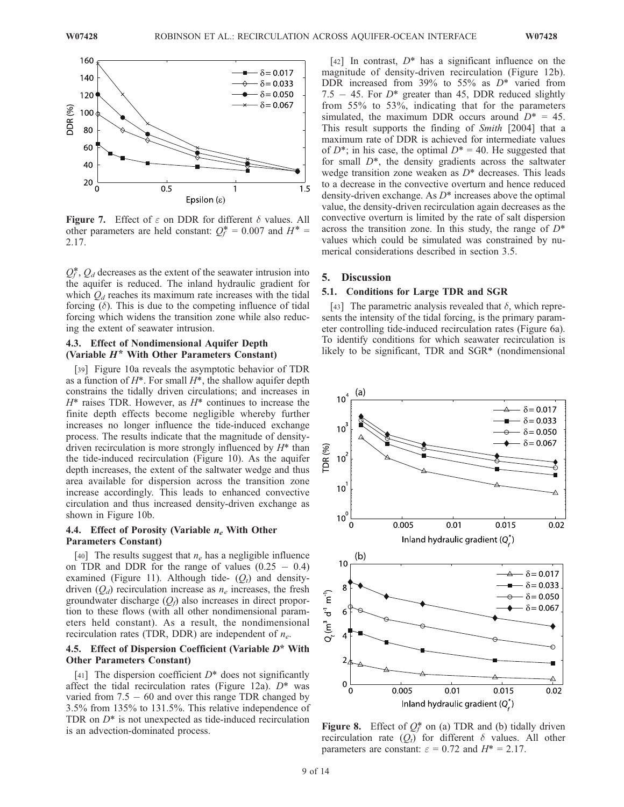

**Figure 7.** Effect of  $\varepsilon$  on DDR for different  $\delta$  values. All other parameters are held constant:  $Q_f^* = 0.007$  and  $H^* =$ 2.17.

 $Q_f^*$ ,  $Q_d$  decreases as the extent of the seawater intrusion into the aquifer is reduced. The inland hydraulic gradient for which  $Q_d$  reaches its maximum rate increases with the tidal forcing  $(\delta)$ . This is due to the competing influence of tidal forcing which widens the transition zone while also reducing the extent of seawater intrusion.

### 4.3. Effect of Nondimensional Aquifer Depth (Variable  $H^*$  With Other Parameters Constant)

[39] Figure 10a reveals the asymptotic behavior of TDR as a function of  $H^*$ . For small  $H^*$ , the shallow aquifer depth constrains the tidally driven circulations; and increases in  $H^*$  raises TDR. However, as  $H^*$  continues to increase the finite depth effects become negligible whereby further increases no longer influence the tide-induced exchange process. The results indicate that the magnitude of densitydriven recirculation is more strongly influenced by  $H^*$  than the tide-induced recirculation (Figure 10). As the aquifer depth increases, the extent of the saltwater wedge and thus area available for dispersion across the transition zone increase accordingly. This leads to enhanced convective circulation and thus increased density-driven exchange as shown in Figure 10b.

## 4.4. Effect of Porosity (Variable  $n_e$  With Other Parameters Constant)

[40] The results suggest that  $n_e$  has a negligible influence on TDR and DDR for the range of values  $(0.25 - 0.4)$ examined (Figure 11). Although tide-  $(Q_t)$  and densitydriven  $(Q_d)$  recirculation increase as  $n_e$  increases, the fresh groundwater discharge  $(Q_f)$  also increases in direct proportion to these flows (with all other nondimensional parameters held constant). As a result, the nondimensional recirculation rates (TDR, DDR) are independent of  $n_e$ .

## 4.5. Effect of Dispersion Coefficient (Variable  $D^*$  With Other Parameters Constant)

[41] The dispersion coefficient  $D^*$  does not significantly affect the tidal recirculation rates (Figure 12a).  $D^*$  was varied from  $7.5 - 60$  and over this range TDR changed by 3.5% from 135% to 131.5%. This relative independence of TDR on  $D^*$  is not unexpected as tide-induced recirculation is an advection-dominated process.

[42] In contrast,  $D^*$  has a significant influence on the magnitude of density-driven recirculation (Figure 12b). DDR increased from 39% to 55% as  $D^*$  varied from 7.5  $-$  45. For  $D^*$  greater than 45, DDR reduced slightly from 55% to 53%, indicating that for the parameters simulated, the maximum DDR occurs around  $D^* = 45$ . This result supports the finding of Smith [2004] that a maximum rate of DDR is achieved for intermediate values of  $D^*$ ; in his case, the optimal  $D^* = 40$ . He suggested that for small  $D^*$ , the density gradients across the saltwater wedge transition zone weaken as  $D^*$  decreases. This leads to a decrease in the convective overturn and hence reduced density-driven exchange. As  $D^*$  increases above the optimal value, the density-driven recirculation again decreases as the convective overturn is limited by the rate of salt dispersion across the transition zone. In this study, the range of  $D^*$ values which could be simulated was constrained by numerical considerations described in section 3.5.

#### 5. Discussion

## 5.1. Conditions for Large TDR and SGR

[43] The parametric analysis revealed that  $\delta$ , which represents the intensity of the tidal forcing, is the primary parameter controlling tide-induced recirculation rates (Figure 6a). To identify conditions for which seawater recirculation is likely to be significant, TDR and SGR\* (nondimensional



**Figure 8.** Effect of  $Q_f^*$  on (a) TDR and (b) tidally driven recirculation rate  $(Q_t)$  for different  $\delta$  values. All other parameters are constant:  $\varepsilon = 0.72$  and  $H^* = 2.17$ .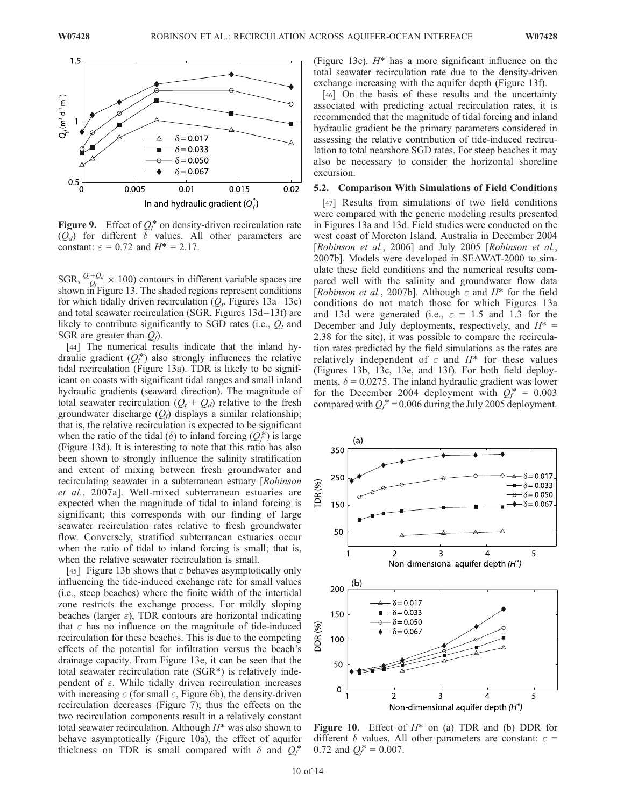

**Figure 9.** Effect of  $Q_f^*$  on density-driven recirculation rate  $(Q_d)$  for different  $\delta$  values. All other parameters are constant:  $\varepsilon = 0.72$  and  $H^* = 2.17$ .

SGR,  $\frac{Q_t+Q_d}{Q_f} \times 100$  contours in different variable spaces are shown in Figure 13. The shaded regions represent conditions for which tidally driven recirculation  $(Q_t,$  Figures 13a–13c) and total seawater recirculation (SGR, Figures 13d– 13f) are likely to contribute significantly to SGD rates (i.e.,  $Q_t$  and SGR are greater than  $Q_f$ ).

[44] The numerical results indicate that the inland hydraulic gradient  $(Q_f^*)$  also strongly influences the relative tidal recirculation (Figure 13a). TDR is likely to be significant on coasts with significant tidal ranges and small inland hydraulic gradients (seaward direction). The magnitude of total seawater recirculation  $(Q_t + Q_d)$  relative to the fresh groundwater discharge  $(Q_f)$  displays a similar relationship; that is, the relative recirculation is expected to be significant when the ratio of the tidal ( $\delta$ ) to inland forcing  $(Q_f^*)$  is large (Figure 13d). It is interesting to note that this ratio has also been shown to strongly influence the salinity stratification and extent of mixing between fresh groundwater and recirculating seawater in a subterranean estuary [Robinson et al., 2007a]. Well-mixed subterranean estuaries are expected when the magnitude of tidal to inland forcing is significant; this corresponds with our finding of large seawater recirculation rates relative to fresh groundwater flow. Conversely, stratified subterranean estuaries occur when the ratio of tidal to inland forcing is small; that is, when the relative seawater recirculation is small.

[45] Figure 13b shows that  $\varepsilon$  behaves asymptotically only influencing the tide-induced exchange rate for small values (i.e., steep beaches) where the finite width of the intertidal zone restricts the exchange process. For mildly sloping beaches (larger  $\varepsilon$ ), TDR contours are horizontal indicating that  $\varepsilon$  has no influence on the magnitude of tide-induced recirculation for these beaches. This is due to the competing effects of the potential for infiltration versus the beach's drainage capacity. From Figure 13e, it can be seen that the total seawater recirculation rate (SGR\*) is relatively independent of  $\varepsilon$ . While tidally driven recirculation increases with increasing  $\varepsilon$  (for small  $\varepsilon$ , Figure 6b), the density-driven recirculation decreases (Figure 7); thus the effects on the two recirculation components result in a relatively constant total seawater recirculation. Although  $H^*$  was also shown to behave asymptotically (Figure 10a), the effect of aquifer thickness on TDR is small compared with  $\delta$  and  $Q_f^*$ 

(Figure 13c).  $H^*$  has a more significant influence on the total seawater recirculation rate due to the density-driven exchange increasing with the aquifer depth (Figure 13f).

[46] On the basis of these results and the uncertainty associated with predicting actual recirculation rates, it is recommended that the magnitude of tidal forcing and inland hydraulic gradient be the primary parameters considered in assessing the relative contribution of tide-induced recirculation to total nearshore SGD rates. For steep beaches it may also be necessary to consider the horizontal shoreline excursion.

#### 5.2. Comparison With Simulations of Field Conditions

[47] Results from simulations of two field conditions were compared with the generic modeling results presented in Figures 13a and 13d. Field studies were conducted on the west coast of Moreton Island, Australia in December 2004 [Robinson et al., 2006] and July 2005 [Robinson et al., 2007b]. Models were developed in SEAWAT-2000 to simulate these field conditions and the numerical results compared well with the salinity and groundwater flow data [Robinson et al., 2007b]. Although  $\varepsilon$  and  $H^*$  for the field conditions do not match those for which Figures 13a and 13d were generated (i.e.,  $\varepsilon = 1.5$  and 1.3 for the December and July deployments, respectively, and  $H^*$  = 2.38 for the site), it was possible to compare the recirculation rates predicted by the field simulations as the rates are relatively independent of  $\varepsilon$  and  $H^*$  for these values (Figures 13b, 13c, 13e, and 13f). For both field deployments,  $\delta = 0.0275$ . The inland hydraulic gradient was lower for the December 2004 deployment with  $Q_f^* = 0.003$ compared with  $Q_f^*$  = 0.006 during the July 2005 deployment.



Figure 10. Effect of  $H^*$  on (a) TDR and (b) DDR for different  $\delta$  values. All other parameters are constant:  $\varepsilon$  = 0.72 and  $Q_f^* = 0.007$ .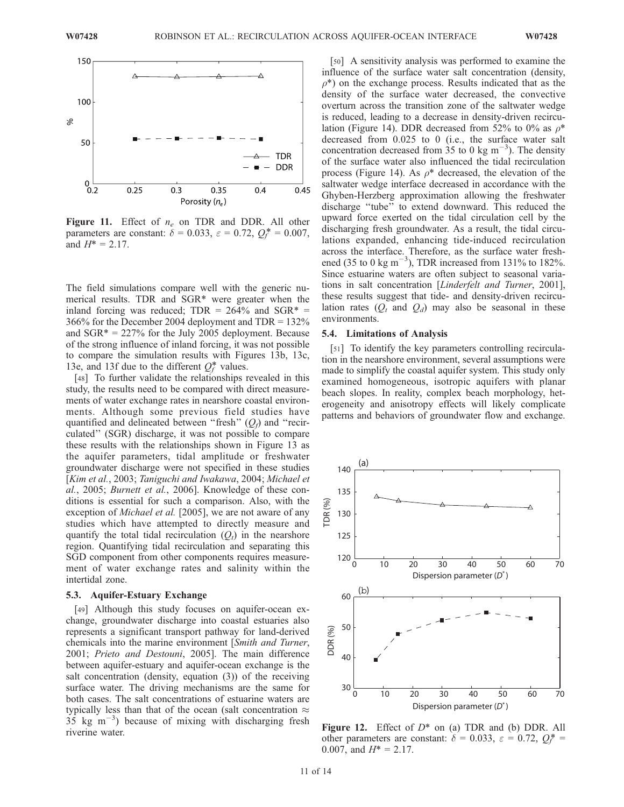

Figure 11. Effect of  $n_e$  on TDR and DDR. All other parameters are constant:  $\delta = 0.033$ ,  $\varepsilon = 0.72$ ,  $Q_f^* = 0.007$ , and  $H^* = 2.17$ .

The field simulations compare well with the generic numerical results. TDR and SGR\* were greater when the inland forcing was reduced;  $TDR = 264\%$  and  $SGR* =$ 366% for the December 2004 deployment and TDR = 132% and  $SGR* = 227\%$  for the July 2005 deployment. Because of the strong influence of inland forcing, it was not possible to compare the simulation results with Figures 13b, 13c, 13e, and 13f due to the different  $Q_f^*$  values.

[48] To further validate the relationships revealed in this study, the results need to be compared with direct measurements of water exchange rates in nearshore coastal environments. Although some previous field studies have quantified and delineated between "fresh"  $(Q_f)$  and "recirculated'' (SGR) discharge, it was not possible to compare these results with the relationships shown in Figure 13 as the aquifer parameters, tidal amplitude or freshwater groundwater discharge were not specified in these studies [Kim et al., 2003; Taniguchi and Iwakawa, 2004; Michael et al., 2005; Burnett et al., 2006]. Knowledge of these conditions is essential for such a comparison. Also, with the exception of *Michael et al.* [2005], we are not aware of any studies which have attempted to directly measure and quantify the total tidal recirculation  $(Q_t)$  in the nearshore region. Quantifying tidal recirculation and separating this SGD component from other components requires measurement of water exchange rates and salinity within the intertidal zone.

#### 5.3. Aquifer-Estuary Exchange

[49] Although this study focuses on aquifer-ocean exchange, groundwater discharge into coastal estuaries also represents a significant transport pathway for land-derived chemicals into the marine environment [Smith and Turner, 2001; Prieto and Destouni, 2005]. The main difference between aquifer-estuary and aquifer-ocean exchange is the salt concentration (density, equation (3)) of the receiving surface water. The driving mechanisms are the same for both cases. The salt concentrations of estuarine waters are typically less than that of the ocean (salt concentration  $\approx$  $35 \text{ kg m}^{-3}$ ) because of mixing with discharging fresh riverine water.

[50] A sensitivity analysis was performed to examine the influence of the surface water salt concentration (density,  $\rho^*$ ) on the exchange process. Results indicated that as the density of the surface water decreased, the convective overturn across the transition zone of the saltwater wedge is reduced, leading to a decrease in density-driven recirculation (Figure 14). DDR decreased from 52% to 0% as  $\rho^*$ decreased from 0.025 to 0 (i.e., the surface water salt concentration decreased from  $35 \text{ to } 0 \text{ kg m}^{-3}$ ). The density of the surface water also influenced the tidal recirculation process (Figure 14). As  $\rho^*$  decreased, the elevation of the saltwater wedge interface decreased in accordance with the Ghyben-Herzberg approximation allowing the freshwater discharge ''tube'' to extend downward. This reduced the upward force exerted on the tidal circulation cell by the discharging fresh groundwater. As a result, the tidal circulations expanded, enhancing tide-induced recirculation across the interface. Therefore, as the surface water freshened (35 to 0 kg m<sup>-3</sup>), TDR increased from 131% to 182%. Since estuarine waters are often subject to seasonal variations in salt concentration [Linderfelt and Turner, 2001], these results suggest that tide- and density-driven recirculation rates  $(Q_t \text{ and } Q_d)$  may also be seasonal in these environments.

#### 5.4. Limitations of Analysis

[51] To identify the key parameters controlling recirculation in the nearshore environment, several assumptions were made to simplify the coastal aquifer system. This study only examined homogeneous, isotropic aquifers with planar beach slopes. In reality, complex beach morphology, heterogeneity and anisotropy effects will likely complicate patterns and behaviors of groundwater flow and exchange.



**Figure 12.** Effect of  $D^*$  on (a) TDR and (b) DDR. All other parameters are constant:  $\delta = 0.033$ ,  $\varepsilon = 0.72$ ,  $Q_f^*$ 0.007, and  $H^* = 2.17$ .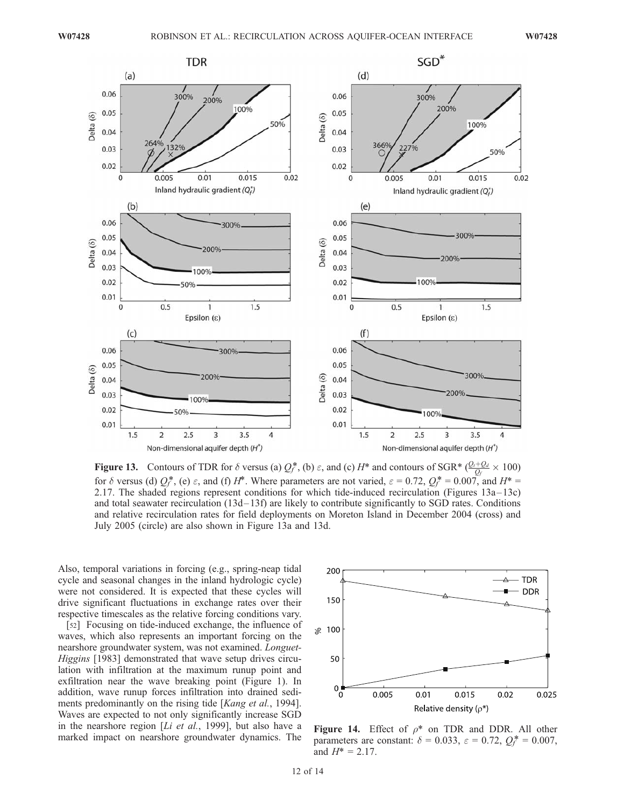

**Figure 13.** Contours of TDR for  $\delta$  versus (a)  $Q_f^*$ , (b)  $\varepsilon$ , and (c)  $H^*$  and contours of SGR\*  $\frac{Q_f+Q_d}{Q_f} \times 100$ ) for  $\delta$  versus (d)  $Q_f^*$ , (e)  $\varepsilon$ , and (f)  $H^*$ . Where parameters are not varied,  $\varepsilon = 0.72$ ,  $Q_f^* = 0.007$ , and  $H^* =$ 2.17. The shaded regions represent conditions for which tide-induced recirculation (Figures 13a –13c) and total seawater recirculation (13d-13f) are likely to contribute significantly to SGD rates. Conditions and relative recirculation rates for field deployments on Moreton Island in December 2004 (cross) and July 2005 (circle) are also shown in Figure 13a and 13d.

Also, temporal variations in forcing (e.g., spring-neap tidal cycle and seasonal changes in the inland hydrologic cycle) were not considered. It is expected that these cycles will drive significant fluctuations in exchange rates over their respective timescales as the relative forcing conditions vary.

[52] Focusing on tide-induced exchange, the influence of waves, which also represents an important forcing on the nearshore groundwater system, was not examined. Longuet-Higgins [1983] demonstrated that wave setup drives circulation with infiltration at the maximum runup point and exfiltration near the wave breaking point (Figure 1). In addition, wave runup forces infiltration into drained sediments predominantly on the rising tide [Kang et al., 1994]. Waves are expected to not only significantly increase SGD in the nearshore region [*Li et al.*, 1999], but also have a marked impact on nearshore groundwater dynamics. The



Figure 14. Effect of  $\rho^*$  on TDR and DDR. All other parameters are constant:  $\delta = 0.033$ ,  $\varepsilon = 0.72$ ,  $Q_f^* = 0.007$ , and  $H^* = 2.17$ .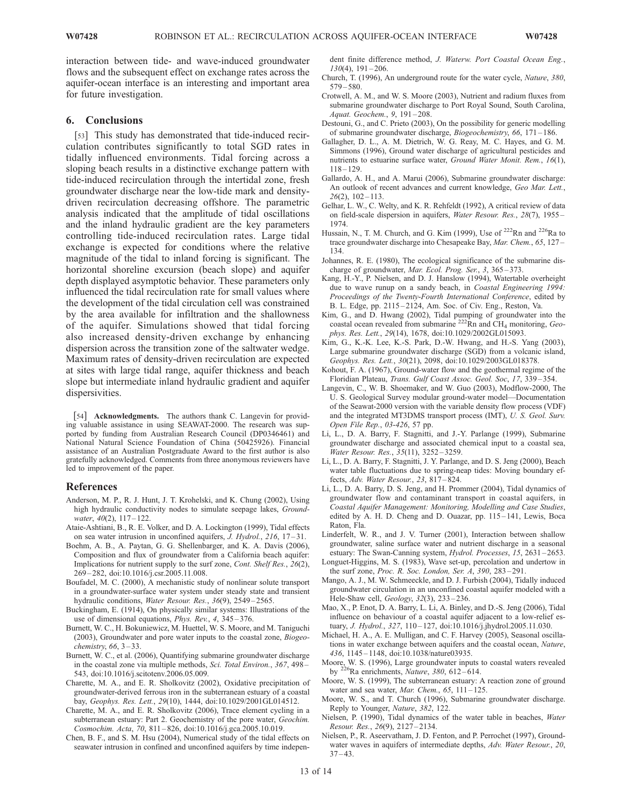interaction between tide- and wave-induced groundwater flows and the subsequent effect on exchange rates across the aquifer-ocean interface is an interesting and important area for future investigation.

## 6. Conclusions

[53] This study has demonstrated that tide-induced recirculation contributes significantly to total SGD rates in tidally influenced environments. Tidal forcing across a sloping beach results in a distinctive exchange pattern with tide-induced recirculation through the intertidal zone, fresh groundwater discharge near the low-tide mark and densitydriven recirculation decreasing offshore. The parametric analysis indicated that the amplitude of tidal oscillations and the inland hydraulic gradient are the key parameters controlling tide-induced recirculation rates. Large tidal exchange is expected for conditions where the relative magnitude of the tidal to inland forcing is significant. The horizontal shoreline excursion (beach slope) and aquifer depth displayed asymptotic behavior. These parameters only influenced the tidal recirculation rate for small values where the development of the tidal circulation cell was constrained by the area available for infiltration and the shallowness of the aquifer. Simulations showed that tidal forcing also increased density-driven exchange by enhancing dispersion across the transition zone of the saltwater wedge. Maximum rates of density-driven recirculation are expected at sites with large tidal range, aquifer thickness and beach slope but intermediate inland hydraulic gradient and aquifer dispersivities.

[54] **Acknowledgments.** The authors thank C. Langevin for providing valuable assistance in using SEAWAT-2000. The research was supported by funding from Australian Research Council (DP0346461) and National Natural Science Foundation of China (50425926). Financial assistance of an Australian Postgraduate Award to the first author is also gratefully acknowledged. Comments from three anonymous reviewers have led to improvement of the paper.

#### References

- Anderson, M. P., R. J. Hunt, J. T. Krohelski, and K. Chung (2002), Using high hydraulic conductivity nodes to simulate seepage lakes, *Ground*water,  $40(2)$ ,  $117-122$ .
- Ataie-Ashtiani, B., R. E. Volker, and D. A. Lockington (1999), Tidal effects on sea water intrusion in unconfined aquifers, J. Hydrol., 216, 17 – 31.
- Boehm, A. B., A. Paytan, G. G. Shellenbarger, and K. A. Davis (2006), Composition and flux of groundwater from a California beach aquifer: Implications for nutrient supply to the surf zone, Cont. Shelf Res., 26(2), 269 – 282, doi:10.1016/j.csr.2005.11.008.
- Boufadel, M. C. (2000), A mechanistic study of nonlinear solute transport in a groundwater-surface water system under steady state and transient hydraulic conditions, *Water Resour. Res.*, 36(9), 2549–2565.
- Buckingham, E. (1914), On physically similar systems: Illustrations of the use of dimensional equations, Phys. Rev., 4, 345 – 376.
- Burnett, W. C., H. Bokuniewicz, M. Huettel, W. S. Moore, and M. Taniguchi (2003), Groundwater and pore water inputs to the coastal zone, Biogeochemistry,  $66, 3-33$ .
- Burnett, W. C., et al. (2006), Quantifying submarine groundwater discharge in the coastal zone via multiple methods, Sci. Total Environ., 367, 498 – 543, doi:10.1016/j.scitotenv.2006.05.009.
- Charette, M. A., and E. R. Sholkovitz (2002), Oxidative precipitation of groundwater-derived ferrous iron in the subterranean estuary of a coastal bay, Geophys. Res. Lett., 29(10), 1444, doi:10.1029/2001GL014512.
- Charette, M. A., and E. R. Sholkovitz (2006), Trace element cycling in a subterranean estuary: Part 2. Geochemistry of the pore water, Geochim. Cosmochim. Acta, 70, 811 – 826, doi:10.1016/j.gca.2005.10.019.
- Chen, B. F., and S. M. Hsu (2004), Numerical study of the tidal effects on seawater intrusion in confined and unconfined aquifers by time indepen-

dent finite difference method, J. Waterw. Port Coastal Ocean Eng.,  $130(4)$ ,  $191-206$ .

- Church, T. (1996), An underground route for the water cycle, Nature, 380,  $579 - 580.$
- Crotwell, A. M., and W. S. Moore (2003), Nutrient and radium fluxes from submarine groundwater discharge to Port Royal Sound, South Carolina, Aquat. Geochem., 9, 191 – 208.
- Destouni, G., and C. Prieto (2003), On the possibility for generic modelling of submarine groundwater discharge, Biogeochemistry, 66, 171 – 186.
- Gallagher, D. L., A. M. Dietrich, W. G. Reay, M. C. Hayes, and G. M. Simmons (1996), Ground water discharge of agricultural pesticides and nutrients to estuarine surface water, Ground Water Monit. Rem., 16(1),  $118 - 129.$
- Gallardo, A. H., and A. Marui (2006), Submarine groundwater discharge: An outlook of recent advances and current knowledge, Geo Mar. Lett.,  $26(2)$ ,  $102 - 113$ .
- Gelhar, L. W., C. Welty, and K. R. Rehfeldt (1992), A critical review of data on field-scale dispersion in aquifers, Water Resour. Res., 28(7), 1955 – 1974.
- Hussain, N., T. M. Church, and G. Kim (1999), Use of <sup>222</sup>Rn and <sup>226</sup>Ra to trace groundwater discharge into Chesapeake Bay, Mar. Chem., 65, 127 – 134.
- Johannes, R. E. (1980), The ecological significance of the submarine discharge of groundwater, Mar. Ecol. Prog. Ser., 3, 365–373.
- Kang, H.-Y., P. Nielsen, and D. J. Hanslow (1994), Watertable overheight due to wave runup on a sandy beach, in Coastal Engineering 1994: Proceedings of the Twenty-Fourth International Conference, edited by B. L. Edge, pp. 2115 – 2124, Am. Soc. of Civ. Eng., Reston, Va.
- Kim, G., and D. Hwang (2002), Tidal pumping of groundwater into the coastal ocean revealed from submarine  ${}^{222}$ Rn and CH<sub>4</sub> monitoring, Geophys. Res. Lett., 29(14), 1678, doi:10.1029/2002GL015093.
- Kim, G., K.-K. Lee, K.-S. Park, D.-W. Hwang, and H.-S. Yang (2003), Large submarine groundwater discharge (SGD) from a volcanic island, Geophys. Res. Lett., 30(21), 2098, doi:10.1029/2003GL018378.
- Kohout, F. A. (1967), Ground-water flow and the geothermal regime of the Floridian Plateau, Trans. Gulf Coast Assoc. Geol. Soc, 17, 339 – 354.
- Langevin, C., W. B. Shoemaker, and W. Guo (2003), Modflow-2000, The U. S. Geological Survey modular ground-water model—Documentation of the Seawat-2000 version with the variable density flow process (VDF) and the integrated MT3DMS transport process (IMT), U. S. Geol. Surv. Open File Rep., 03-426, 57 pp.
- Li, L., D. A. Barry, F. Stagnitti, and J.-Y. Parlange (1999), Submarine groundwater discharge and associated chemical input to a coastal sea, Water Resour. Res., 35(11), 3252 – 3259.
- Li, L., D. A. Barry, F. Stagnitti, J. Y. Parlange, and D. S. Jeng (2000), Beach water table fluctuations due to spring-neap tides: Moving boundary effects, Adv. Water Resour., 23, 817-824.
- Li, L., D. A. Barry, D. S. Jeng, and H. Prommer (2004), Tidal dynamics of groundwater flow and contaminant transport in coastal aquifers, in Coastal Aquifer Management: Monitoring, Modelling and Case Studies, edited by A. H. D. Cheng and D. Ouazar, pp. 115-141, Lewis, Boca Raton, Fla.
- Linderfelt, W. R., and J. V. Turner (2001), Interaction between shallow groundwater, saline surface water and nutrient discharge in a seasonal estuary: The Swan-Canning system, Hydrol. Processes, 15, 2631-2653.
- Longuet-Higgins, M. S. (1983), Wave set-up, percolation and undertow in the surf zone, Proc. R. Soc. London, Ser. A, 390, 283 – 291.
- Mango, A. J., M. W. Schmeeckle, and D. J. Furbish (2004), Tidally induced groundwater circulation in an unconfined coastal aquifer modeled with a Hele-Shaw cell, Geology, 32(3), 233-236.
- Mao, X., P. Enot, D. A. Barry, L. Li, A. Binley, and D.-S. Jeng (2006), Tidal influence on behaviour of a coastal aquifer adjacent to a low-relief estuary, *J. Hydrol.*, 327, 110-127, doi:10.1016/j.jhydrol.2005.11.030.
- Michael, H. A., A. E. Mulligan, and C. F. Harvey (2005), Seasonal oscillations in water exchange between aquifers and the coastal ocean, Nature, 436, 1145 – 1148, doi:10.1038/nature03935.
- Moore, W. S. (1996), Large groundwater inputs to coastal waters revealed by  $^{226}$ Ra enrichments, Nature, 380, 612-614.
- Moore, W. S. (1999), The subterranean estuary: A reaction zone of ground water and sea water, *Mar. Chem.*,  $65$ ,  $111 - 125$ .
- Moore, W. S., and T. Church (1996), Submarine groundwater discharge. Reply to Younger, Nature, 382, 122.
- Nielsen, P. (1990), Tidal dynamics of the water table in beaches, Water Resour. Res., 26(9), 2127-2134.
- Nielsen, P., R. Aseervatham, J. D. Fenton, and P. Perrochet (1997), Groundwater waves in aquifers of intermediate depths, Adv. Water Resour., 20,  $37 - 43.$